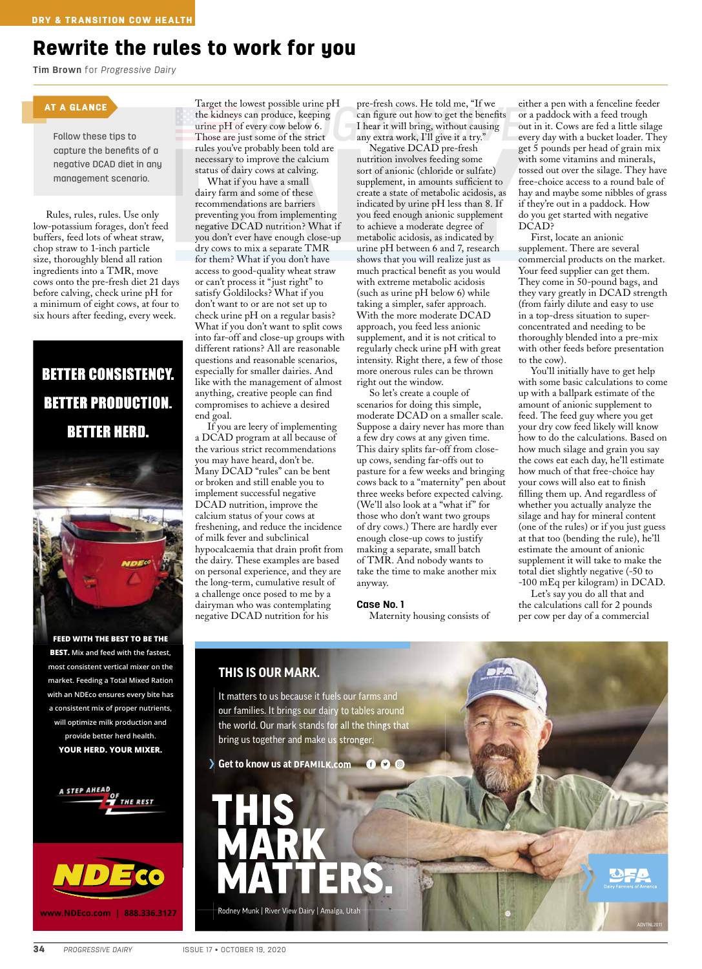## Rewrite the rules to work for you

**Tim Brown** for *Progressive Dairy*

#### AT A GLANCE

Follow these tips to capture the benefits of a negative DCAD diet in any management scenario.

Rules, rules, rules. Use only low-potassium forages, don't feed buffers, feed lots of wheat straw, chop straw to 1-inch particle size, thoroughly blend all ration ingredients into a TMR, move cows onto the pre-fresh diet 21 days before calving, check urine pH for a minimum of eight cows, at four to six hours after feeding, every week.

# **BETTER CONSISTENCY. BETTER PRODUCTION. BETTER HERD.**

**FEED WITH THE BEST TO BE THE BEST. Mix and feed with the fastest, most consistent vertical mixer on the market. Feeding a Total Mixed Ration with an NDEco ensures every bite has a consistent mix of proper nutrients, will optimize milk production and provide better herd health. YOUR HERD. YOUR MIXER.**





Target the lowest possible urine pH the kidneys can produce, keeping urine pH of every cow below 6. Those are just some of the strict rules you've probably been told are necessary to improve the calcium status of dairy cows at calving.

What if you have a small dairy farm and some of these recommendations are barriers preventing you from implementing negative DCAD nutrition? What if you don't ever have enough close-up dry cows to mix a separate TMR for them? What if you don't have access to good-quality wheat straw or can't process it "just right" to satisfy Goldilocks? What if you don't want to or are not set up to check urine pH on a regular basis? What if you don't want to split cows into far-off and close-up groups with different rations? All are reasonable questions and reasonable scenarios, especially for smaller dairies. And like with the management of almost anything, creative people can find compromises to achieve a desired end goal.

If you are leery of implementing a DCAD program at all because of the various strict recommendations you may have heard, don't be. Many DCAD "rules" can be bent or broken and still enable you to implement successful negative DCAD nutrition, improve the calcium status of your cows at freshening, and reduce the incidence of milk fever and subclinical hypocalcaemia that drain profit from the dairy. These examples are based on personal experience, and they are the long-term, cumulative result of a challenge once posed to me by a dairyman who was contemplating negative DCAD nutrition for his

pre-fresh cows. He told me, "If we can figure out how to get the benefits I hear it will bring, without causing any extra work, I'll give it a try."

Negative DCAD pre-fresh nutrition involves feeding some sort of anionic (chloride or sulfate) supplement, in amounts sufficient to create a state of metabolic acidosis, as indicated by urine pH less than 8. If you feed enough anionic supplement to achieve a moderate degree of metabolic acidosis, as indicated by urine pH between 6 and 7, research shows that you will realize just as much practical benefit as you would with extreme metabolic acidosis (such as urine pH below 6) while taking a simpler, safer approach. With the more moderate DCAD approach, you feed less anionic supplement, and it is not critical to regularly check urine pH with great intensity. Right there, a few of those more onerous rules can be thrown right out the window.

So let's create a couple of scenarios for doing this simple, moderate DCAD on a smaller scale. Suppose a dairy never has more than a few dry cows at any given time. This dairy splits far-off from closeup cows, sending far-offs out to pasture for a few weeks and bringing cows back to a "maternity" pen about three weeks before expected calving. (We'll also look at a "what if" for those who don't want two groups of dry cows.) There are hardly ever enough close-up cows to justify making a separate, small batch of TMR. And nobody wants to take the time to make another mix anyway.

#### **Case No. 1**

Maternity housing consists of

either a pen with a fenceline feeder or a paddock with a feed trough out in it. Cows are fed a little silage every day with a bucket loader. They get 5 pounds per head of grain mix with some vitamins and minerals, tossed out over the silage. They have free-choice access to a round bale of hay and maybe some nibbles of grass if they're out in a paddock. How do you get started with negative DCAD?

First, locate an anionic supplement. There are several commercial products on the market. Your feed supplier can get them. They come in 50-pound bags, and they vary greatly in DCAD strength (from fairly dilute and easy to use in a top-dress situation to superconcentrated and needing to be thoroughly blended into a pre-mix with other feeds before presentation to the cow).

You'll initially have to get help with some basic calculations to come up with a ballpark estimate of the amount of anionic supplement to feed. The feed guy where you get your dry cow feed likely will know how to do the calculations. Based on how much silage and grain you say the cows eat each day, he'll estimate how much of that free-choice hay your cows will also eat to finish filling them up. And regardless of whether you actually analyze the silage and hay for mineral content (one of the rules) or if you just guess at that too (bending the rule), he'll estimate the amount of anionic supplement it will take to make the total diet slightly negative (-50 to -100 mEq per kilogram) in DCAD.

Let's say you do all that and the calculations call for 2 pounds per cow per day of a commercial